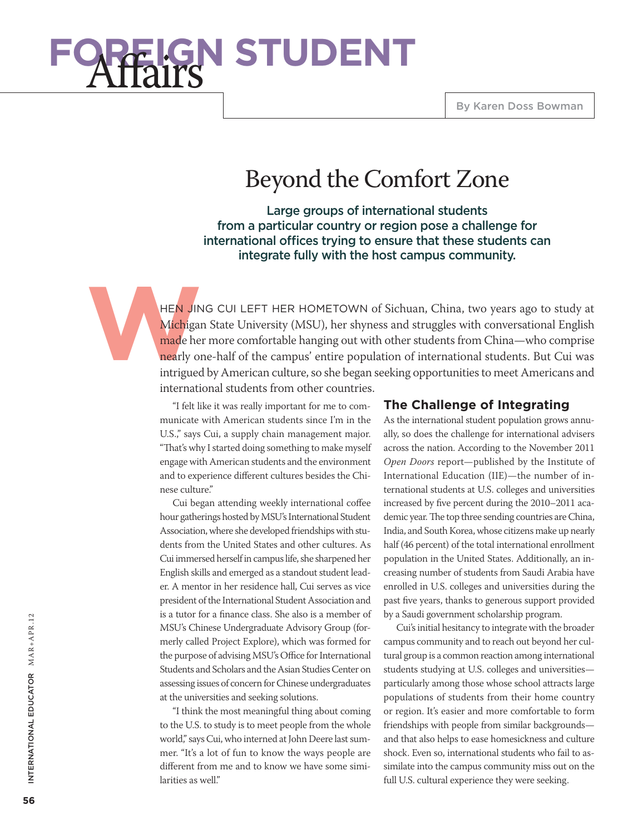# **Y STUDENT**

## Beyond the Comfort Zone

Large groups of international students from a particular country or region pose a challenge for international offices trying to ensure that these students can integrate fully with the host campus community.

**Wichigan**<br> **Wichigan**<br> **Wichigan**<br> **Michigan**<br> **Michigan**<br> **Michigan**<br> **Michigan** HEN JING CUI LEFT HER HOMETOWN of Sichuan, China, two years ago to study at Michigan State University (MSU), her shyness and struggles with conversational English made her more comfortable hanging out with other students from China—who comprise nearly one-half of the campus' entire population of international students. But Cui was intrigued by American culture, so she began seeking opportunities to meet Americans and international students from other countries.

> "I felt like it was really important for me to communicate with American students since I'm in the U.S.," says Cui, a supply chain management major. "That's why I started doing something to make myself engage with American students and the environment and to experience different cultures besides the Chinese culture."

> Cui began attending weekly international coffee hour gatherings hosted by MSU's International Student Association, where she developed friendships with students from the United States and other cultures. As Cui immersed herself in campus life, she sharpened her English skills and emerged as a standout student leader. A mentor in her residence hall, Cui serves as vice president of the International Student Association and is a tutor for a finance class. She also is a member of MSU's Chinese Undergraduate Advisory Group (formerly called Project Explore), which was formed for the purpose of advising MSU's Office for International Students and Scholars and the Asian Studies Center on assessing issues of concern for Chinese undergraduates at the universities and seeking solutions.

> "I think the most meaningful thing about coming to the U.S. to study is to meet people from the whole world," says Cui, who interned at John Deere last summer. "It's a lot of fun to know the ways people are different from me and to know we have some similarities as well."

#### **The Challenge of Integrating**

As the international student population grows annually, so does the challenge for international advisers across the nation. According to the November 2011 *Open Doors* report—published by the Institute of International Education (IIE)—the number of international students at U.S. colleges and universities increased by five percent during the 2010–2011 academic year. The top three sending countries are China, India, and South Korea, whose citizens make up nearly half (46 percent) of the total international enrollment population in the United States. Additionally, an increasing number of students from Saudi Arabia have enrolled in U.S. colleges and universities during the past five years, thanks to generous support provided by a Saudi government scholarship program.

Cui's initial hesitancy to integrate with the broader campus community and to reach out beyond her cultural group is a common reaction among international students studying at U.S. colleges and universities particularly among those whose school attracts large populations of students from their home country or region. It's easier and more comfortable to form friendships with people from similar backgrounds and that also helps to ease homesickness and culture shock. Even so, international students who fail to assimilate into the campus community miss out on the full U.S. cultural experience they were seeking.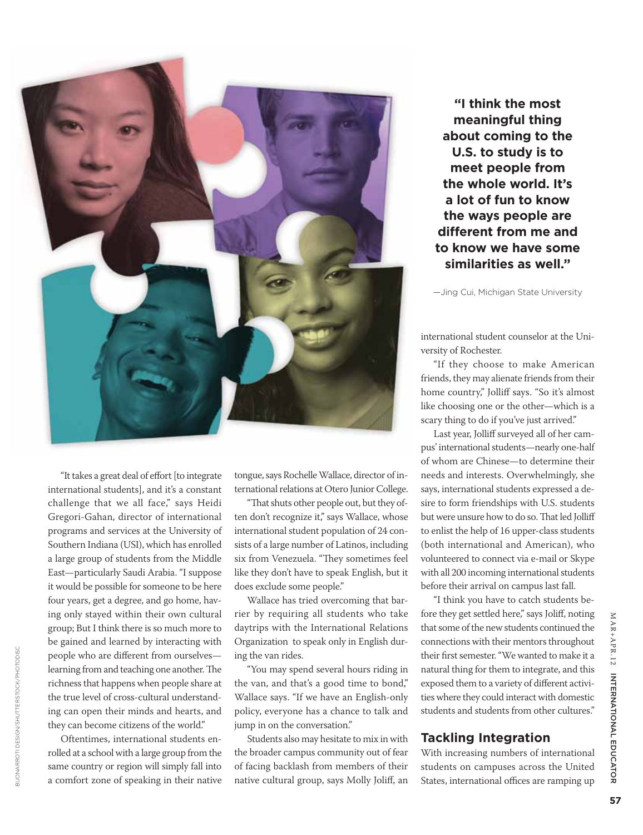

"It takes a great deal of effort [to integrate international students], and it's a constant challenge that we all face," says Heidi Gregori-Gahan, director of international programs and services at the University of Southern Indiana (USI), which has enrolled a large group of students from the Middle East—particularly Saudi Arabia. "I suppose it would be possible for someone to be here four years, get a degree, and go home, having only stayed within their own cultural group; But I think there is so much more to be gained and learned by interacting with people who are different from ourselves learning from and teaching one another. The richness that happens when people share at the true level of cross-cultural understanding can open their minds and hearts, and they can become citizens of the world." States of the value of the value of facing buonary of facing buonary of their first semester. "We wanted to make it a<br>learning from and teaching one another. The "You may spend several hours riding in antural thing for th

Oftentimes, international students enrolled at a school with a large group from the same country or region will simply fall into a comfort zone of speaking in their native tongue, says Rochelle Wallace, director of international relations at Otero Junior College.

"That shuts other people out, but they often don't recognize it," says Wallace, whose international student population of 24 consists of a large number of Latinos, including six from Venezuela. "They sometimes feel like they don't have to speak English, but it does exclude some people."

Wallace has tried overcoming that barrier by requiring all students who take daytrips with the International Relations Organization to speak only in English during the van rides.

"You may spend several hours riding in the van, and that's a good time to bond," Wallace says. "If we have an English-only policy, everyone has a chance to talk and jump in on the conversation."

Students also may hesitate to mix in with the broader campus community out of fear of facing backlash from members of their native cultural group, says Molly Joliff, an

**"I think the most meaningful thing about coming to the U.S. to study is to meet people from the whole world. It's a lot of fun to know the ways people are different from me and to know we have some similarities as well."**

—Jing Cui, Michigan State University

international student counselor at the University of Rochester.

"If they choose to make American friends, they may alienate friends from their home country," Jolliff says. "So it's almost like choosing one or the other—which is a scary thing to do if you've just arrived."

Last year, Jolliff surveyed all of her campus' international students—nearly one-half of whom are Chinese—to determine their needs and interests. Overwhelmingly, she says, international students expressed a desire to form friendships with U.S. students but were unsure how to do so. That led Jolliff to enlist the help of 16 upper-class students (both international and American), who volunteered to connect via e-mail or Skype with all 200 incoming international students before their arrival on campus last fall.

"I think you have to catch students before they get settled here," says Joliff, noting that some of the new students continued the connections with their mentors throughout their first semester. "We wanted to make it a natural thing for them to integrate, and this exposed them to a variety of different activities where they could interact with domestic students and students from other cultures."

#### **Tackling Integration**

With increasing numbers of international students on campuses across the United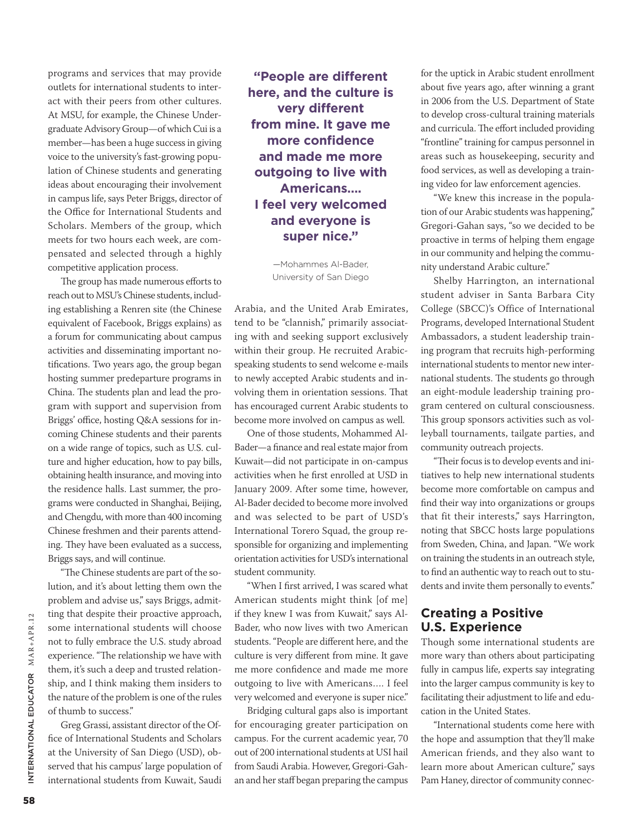programs and services that may provide outlets for international students to interact with their peers from other cultures. At MSU, for example, the Chinese Undergraduate Advisory Group—of which Cui is a member—has been a huge success in giving voice to the university's fast-growing population of Chinese students and generating ideas about encouraging their involvement in campus life, says Peter Briggs, director of the Office for International Students and Scholars. Members of the group, which meets for two hours each week, are compensated and selected through a highly competitive application process.

The group has made numerous efforts to reach out to MSU's Chinese students, including establishing a Renren site (the Chinese equivalent of Facebook, Briggs explains) as a forum for communicating about campus activities and disseminating important notifications. Two years ago, the group began hosting summer predeparture programs in China. The students plan and lead the program with support and supervision from Briggs' office, hosting Q&A sessions for incoming Chinese students and their parents on a wide range of topics, such as U.S. culture and higher education, how to pay bills, obtaining health insurance, and moving into the residence halls. Last summer, the programs were conducted in Shanghai, Beijing, and Chengdu, with more than 400 incoming Chinese freshmen and their parents attending. They have been evaluated as a success, Briggs says, and will continue.

"The Chinese students are part of the solution, and it's about letting them own the problem and advise us," says Briggs, admitting that despite their proactive approach, some international students will choose not to fully embrace the U.S. study abroad experience. "The relationship we have with them, it's such a deep and trusted relationship, and I think making them insiders to the nature of the problem is one of the rules of thumb to success."

Greg Grassi, assistant director of the Office of International Students and Scholars at the University of San Diego (USD), observed that his campus' large population of international students from Kuwait, Saudi

**"People are different here, and the culture is very different from mine. It gave me more confidence and made me more outgoing to live with Americans…. I feel very welcomed and everyone is super nice."**

> —Mohammes Al-Bader, University of San Diego

Arabia, and the United Arab Emirates, tend to be "clannish," primarily associating with and seeking support exclusively within their group. He recruited Arabicspeaking students to send welcome e-mails to newly accepted Arabic students and involving them in orientation sessions. That has encouraged current Arabic students to become more involved on campus as well.

One of those students, Mohammed Al-Bader—a finance and real estate major from Kuwait—did not participate in on-campus activities when he first enrolled at USD in January 2009. After some time, however, Al-Bader decided to become more involved and was selected to be part of USD's International Torero Squad, the group responsible for organizing and implementing orientation activities for USD's international student community.

"When I first arrived, I was scared what American students might think [of me] if they knew I was from Kuwait," says Al-Bader, who now lives with two American students. "People are different here, and the culture is very different from mine. It gave me more confidence and made me more outgoing to live with Americans…. I feel very welcomed and everyone is super nice."

Bridging cultural gaps also is important for encouraging greater participation on campus. For the current academic year, 70 out of 200 international students at USI hail from Saudi Arabia. However, Gregori-Gahan and her staff began preparing the campus

for the uptick in Arabic student enrollment about five years ago, after winning a grant in 2006 from the U.S. Department of State to develop cross-cultural training materials and curricula. The effort included providing "frontline" training for campus personnel in areas such as housekeeping, security and food services, as well as developing a training video for law enforcement agencies.

"We knew this increase in the population of our Arabic students was happening," Gregori-Gahan says, "so we decided to be proactive in terms of helping them engage in our community and helping the community understand Arabic culture."

Shelby Harrington, an international student adviser in Santa Barbara City College (SBCC)'s Office of International Programs, developed International Student Ambassadors, a student leadership training program that recruits high-performing international students to mentor new international students. The students go through an eight-module leadership training program centered on cultural consciousness. This group sponsors activities such as volleyball tournaments, tailgate parties, and community outreach projects.

"Their focus is to develop events and initiatives to help new international students become more comfortable on campus and find their way into organizations or groups that fit their interests," says Harrington, noting that SBCC hosts large populations from Sweden, China, and Japan. "We work on training the students in an outreach style, to find an authentic way to reach out to students and invite them personally to events."

#### **Creating a Positive U.S. Experience**

Though some international students are more wary than others about participating fully in campus life, experts say integrating into the larger campus community is key to facilitating their adjustment to life and education in the United States.

"International students come here with the hope and assumption that they'll make American friends, and they also want to learn more about American culture," says Pam Haney, director of community connec-